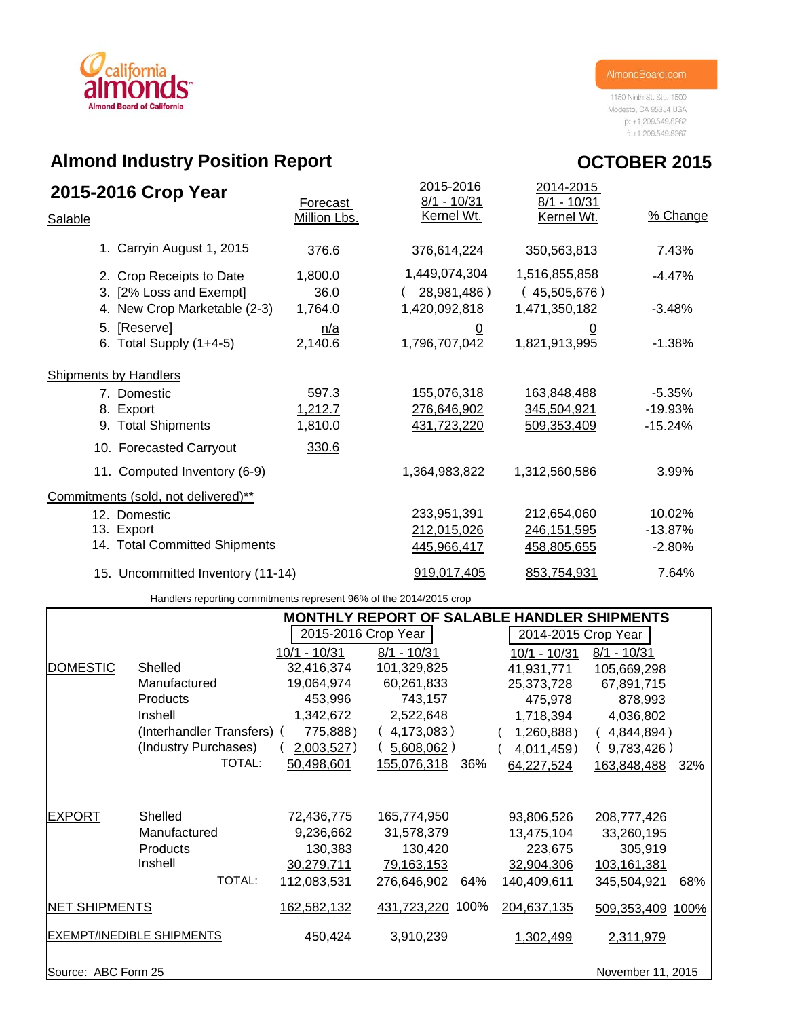

1150 Ninth St. Ste. 1500 Modesto, CA 95354 USA p: +1.209.549.8262  $ft + 1.209.549.8267$ 

**OCTOBER 2015**

## **Almond Industry Position Report**

| 2015-2016 Crop Year                                 | Forecast        | 2015-2016<br>$8/1 - 10/31$   | 2014-2015<br>$8/1 - 10/31$    |           |
|-----------------------------------------------------|-----------------|------------------------------|-------------------------------|-----------|
| Salable                                             | Million Lbs.    | Kernel Wt.                   | Kernel Wt.                    | % Change  |
| 1. Carryin August 1, 2015                           | 376.6           | 376,614,224                  | 350,563,813                   | 7.43%     |
| 2. Crop Receipts to Date<br>3. [2% Loss and Exempt] | 1,800.0<br>36.0 | 1,449,074,304<br>28,981,486) | 1,516,855,858<br>(45,505,676) | $-4.47%$  |
| 4. New Crop Marketable (2-3)                        | 1,764.0         | 1,420,092,818                | 1,471,350,182                 | $-3.48%$  |
| 5. [Reserve]<br>6. Total Supply $(1+4-5)$           | n/a<br>2,140.6  | <u>0</u><br>1,796,707,042    | <u>0</u><br>1,821,913,995     | $-1.38%$  |
| <b>Shipments by Handlers</b>                        |                 |                              |                               |           |
| 7. Domestic                                         | 597.3           | 155,076,318                  | 163,848,488                   | $-5.35%$  |
| 8. Export                                           | 1,212.7         | 276,646,902                  | 345,504,921                   | $-19.93%$ |
| 9. Total Shipments                                  | 1,810.0         | 431,723,220                  | 509,353,409                   | $-15.24%$ |
| 10. Forecasted Carryout                             | 330.6           |                              |                               |           |
| 11. Computed Inventory (6-9)                        |                 | 1,364,983,822                | 1,312,560,586                 | 3.99%     |
| Commitments (sold, not delivered)**                 |                 |                              |                               |           |
| 12. Domestic                                        |                 | 233,951,391                  | 212,654,060                   | 10.02%    |
| 13. Export                                          |                 | 212,015,026                  | 246, 151, 595                 | $-13.87%$ |
| 14. Total Committed Shipments                       |                 | 445,966,417                  | 458,805,655                   | $-2.80%$  |
| 15. Uncommitted Inventory (11-14)                   |                 | 919,017,405                  | 853,754,931                   | 7.64%     |
|                                                     |                 |                              |                               |           |

Handlers reporting commitments represent 96% of the 2014/2015 crop

|                      |                                  |                     | <b>MONTHLY REPORT OF SALABLE HANDLER SHIPMENTS</b> |                     |                     |
|----------------------|----------------------------------|---------------------|----------------------------------------------------|---------------------|---------------------|
|                      |                                  | 2015-2016 Crop Year |                                                    | 2014-2015 Crop Year |                     |
|                      |                                  | $10/1 - 10/31$      | $8/1 - 10/31$                                      | 10/1 - 10/31        | $8/1 - 10/31$       |
| <b>DOMESTIC</b>      | Shelled                          | 32,416,374          | 101,329,825                                        | 41,931,771          | 105,669,298         |
|                      | Manufactured                     | 19,064,974          | 60,261,833                                         | 25,373,728          | 67,891,715          |
|                      | <b>Products</b>                  | 453,996             | 743,157                                            | 475,978             | 878,993             |
|                      | Inshell                          | 1,342,672           | 2,522,648                                          | 1,718,394           | 4,036,802           |
|                      | (Interhandler Transfers) (       | 775,888)            | (4,173,083)                                        | 1,260,888)          | 4,844,894)          |
|                      | (Industry Purchases)             | 2,003,527)          | $5,608,062$ )                                      | 4,011,459)          | 9,783,426)          |
|                      | TOTAL:                           | 50,498,601          | 155,076,318<br>36%                                 | 64,227,524          | 163,848,488<br>32%  |
|                      |                                  |                     |                                                    |                     |                     |
| <b>EXPORT</b>        | Shelled                          | 72,436,775          | 165,774,950                                        | 93,806,526          | 208,777,426         |
|                      | Manufactured                     | 9,236,662           | 31,578,379                                         | 13,475,104          | 33,260,195          |
|                      | <b>Products</b>                  | 130,383             | 130,420                                            | 223,675             | 305,919             |
|                      | Inshell                          | 30,279,711          | 79,163,153                                         | 32,904,306          | 103,161,381         |
|                      | TOTAL:                           | 112,083,531         | 276,646,902<br>64%                                 | 140,409,611         | 345,504,921<br>68%  |
| <b>NET SHIPMENTS</b> |                                  | 162,582,132         | 431,723,220<br>100%                                | 204,637,135         | 509,353,409<br>100% |
|                      | <b>EXEMPT/INEDIBLE SHIPMENTS</b> | 450,424             | 3,910,239                                          | 1,302,499           | 2,311,979           |
| Source: ABC Form 25  |                                  |                     |                                                    |                     | November 11, 2015   |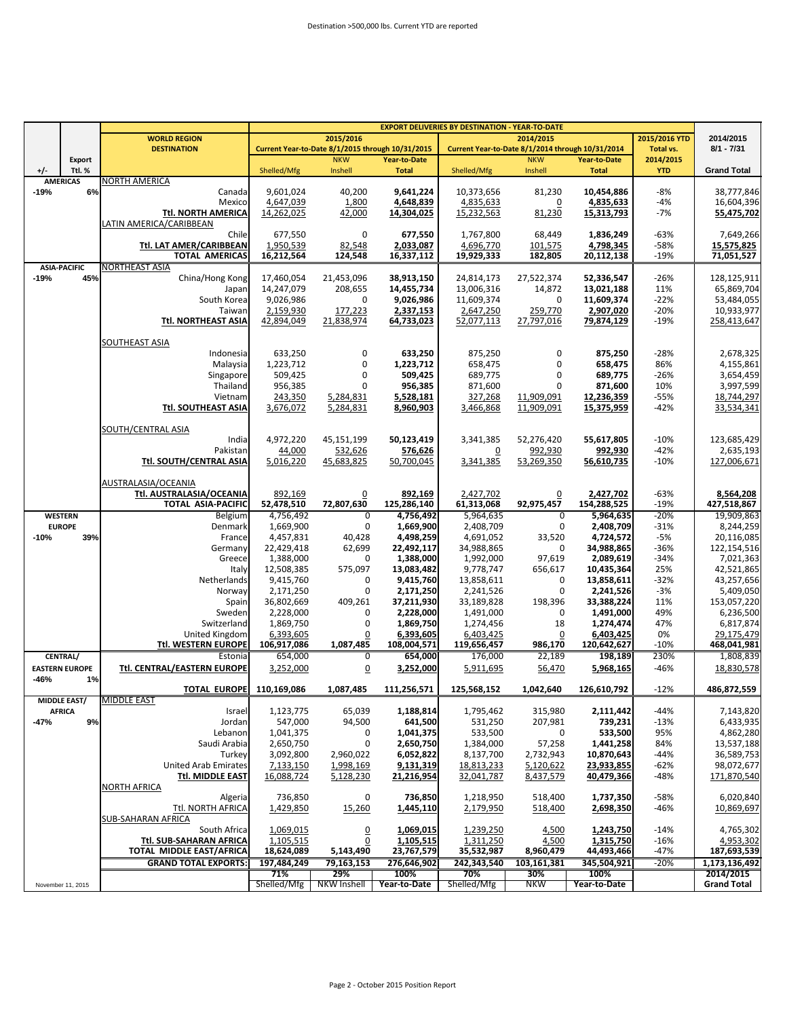|                |                           | <b>EXPORT DELIVERIES BY DESTINATION - YEAR-TO-DATE</b> |             |                                                  |              |                                                  |                       |                     |               |                          |
|----------------|---------------------------|--------------------------------------------------------|-------------|--------------------------------------------------|--------------|--------------------------------------------------|-----------------------|---------------------|---------------|--------------------------|
|                |                           | <b>WORLD REGION</b>                                    |             | 2015/2016                                        |              |                                                  | 2014/2015             |                     | 2015/2016 YTD | 2014/2015                |
|                |                           | <b>DESTINATION</b>                                     |             | Current Year-to-Date 8/1/2015 through 10/31/2015 |              | Current Year-to-Date 8/1/2014 through 10/31/2014 |                       |                     | Total vs.     | $8/1 - 7/31$             |
|                | Export                    |                                                        | Shelled/Mfg | <b>NKW</b>                                       | Year-to-Date |                                                  | <b>NKW</b>            | <b>Year-to-Date</b> | 2014/2015     |                          |
| $+/-$          | Ttl. %<br><b>AMERICAS</b> | NORTH AMERICA                                          |             | Inshell                                          | <b>Total</b> | Shelled/Mfg                                      | Inshell               | <b>Total</b>        | <b>YTD</b>    | <b>Grand Total</b>       |
| $-19%$         | 6%                        | Canada                                                 | 9,601,024   | 40,200                                           | 9,641,224    | 10,373,656                                       | 81,230                | 10,454,886          | $-8%$         | 38,777,846               |
|                |                           | Mexico                                                 | 4,647,039   | 1,800                                            | 4,648,839    | 4,835,633                                        | <u>0</u>              | 4,835,633           | $-4%$         | 16,604,396               |
|                |                           | Ttl. NORTH AMERICA                                     | 14,262,025  | 42,000                                           | 14,304,025   | 15,232,563                                       | 81,230                | 15,313,793          | $-7%$         | 55,475,702               |
|                |                           | LATIN AMERICA/CARIBBEAN                                |             |                                                  |              |                                                  |                       |                     |               |                          |
|                |                           | Chile                                                  | 677,550     | 0                                                | 677,550      | 1,767,800                                        | 68,449                | 1,836,249           | $-63%$        | 7,649,266                |
|                |                           | Ttl. LAT AMER/CARIBBEAN                                | 1,950,539   | 82,548                                           | 2,033,087    | 4,696,770                                        | 101,575               | 4,798,345           | -58%          | 15,575,825               |
|                |                           | <b>TOTAL AMERICAS</b>                                  | 16,212,564  | 124,548                                          | 16,337,112   | 19,929,333                                       | 182,805               | 20,112,138          | -19%          | 71,051,527               |
|                | <b>ASIA-PACIFIC</b>       | NORTHEAST ASIA                                         |             |                                                  |              |                                                  |                       |                     |               |                          |
| $-19%$         | 45%                       | China/Hong Kong                                        | 17,460,054  | 21,453,096                                       | 38,913,150   | 24,814,173                                       | 27,522,374            | 52,336,547          | $-26%$        | 128,125,911              |
|                |                           | Japan                                                  | 14,247,079  | 208,655                                          | 14,455,734   | 13,006,316                                       | 14,872                | 13,021,188          | 11%           | 65,869,704               |
|                |                           | South Korea                                            | 9,026,986   | 0                                                | 9,026,986    | 11,609,374                                       | 0                     | 11,609,374          | $-22%$        | 53,484,055               |
|                |                           | Taiwan                                                 | 2,159,930   | 177,223                                          | 2,337,153    | 2,647,250                                        | 259,770               | 2,907,020           | $-20%$        | 10,933,977               |
|                |                           | Ttl. NORTHEAST ASIA                                    | 42,894,049  | 21,838,974                                       | 64,733,023   | 52,077,113                                       | 27,797,016            | 79,874,129          | $-19%$        | 258,413,647              |
|                |                           |                                                        |             |                                                  |              |                                                  |                       |                     |               |                          |
|                |                           | SOUTHEAST ASIA                                         |             |                                                  |              |                                                  |                       |                     |               |                          |
|                |                           | Indonesia                                              | 633,250     | 0                                                | 633,250      | 875,250                                          | $\mathbf 0$           | 875,250             | $-28%$        | 2,678,325                |
|                |                           | Malaysia                                               | 1,223,712   | 0                                                | 1,223,712    | 658,475                                          | $\mathbf 0$           | 658,475             | 86%           | 4,155,861                |
|                |                           | Singapore                                              | 509,425     | 0                                                | 509,425      | 689,775                                          | $\mathbf 0$           | 689,775             | -26%          | 3,654,459                |
|                |                           | Thailand                                               | 956,385     | 0                                                | 956,385      | 871,600                                          | 0                     | 871,600             | 10%           | 3,997,599                |
|                |                           | Vietnam                                                | 243,350     | 5,284,831                                        | 5,528,181    | 327,268                                          | 11,909,091            | 12,236,359          | $-55%$        | 18,744,297               |
|                |                           | <b>Ttl. SOUTHEAST ASIA</b>                             | 3,676,072   | 5,284,831                                        | 8,960,903    | 3,466,868                                        | 11,909,091            | 15,375,959          | $-42%$        | 33,534,341               |
|                |                           |                                                        |             |                                                  |              |                                                  |                       |                     |               |                          |
|                |                           | SOUTH/CENTRAL ASIA                                     |             |                                                  |              |                                                  |                       |                     |               |                          |
|                |                           | India                                                  | 4,972,220   | 45,151,199                                       | 50,123,419   | 3,341,385                                        | 52,276,420<br>992.930 | 55,617,805          | $-10%$        | 123,685,429              |
|                |                           | Pakistan                                               | 44,000      | 532,626                                          | 576,626      | $\overline{0}$<br>3,341,385                      |                       | 992,930             | $-42%$        | 2,635,193<br>127,006,671 |
|                |                           | Ttl. SOUTH/CENTRAL ASIA                                | 5,016,220   | 45,683,825                                       | 50,700,045   |                                                  | 53,269,350            | 56,610,735          | $-10%$        |                          |
|                |                           | AUSTRALASIA/OCEANIA                                    |             |                                                  |              |                                                  |                       |                     |               |                          |
|                |                           | Ttl. AUSTRALASIA/OCEANIA                               | 892,169     | $\overline{0}$                                   | 892,169      | 2,427,702                                        | $\overline{0}$        | 2,427,702           | $-63%$        | 8,564,208                |
|                |                           | <b>TOTAL ASIA-PACIFIC</b>                              | 52,478,510  | 72,807,630                                       | 125,286,140  | 61,313,068                                       | 92,975,457            | 154,288,525         | $-19%$        | 427,518,867              |
| <b>WESTERN</b> |                           | Belgium                                                | 4,756,492   | $\overline{0}$                                   | 4,756,492    | 5,964,635                                        | $\overline{0}$        | 5,964,635           | -20%          | 19,909,863               |
|                | <b>EUROPE</b>             | Denmark                                                | 1,669,900   | 0                                                | 1,669,900    | 2,408,709                                        | 0                     | 2,408,709           | $-31%$        | 8,244,259                |
| $-10%$         | 39%                       | France                                                 | 4,457,831   | 40,428                                           | 4,498,259    | 4,691,052                                        | 33,520                | 4,724,572           | $-5%$         | 20,116,085               |
|                |                           | Germany                                                | 22,429,418  | 62,699                                           | 22,492,117   | 34,988,865                                       | 0                     | 34,988,865          | $-36%$        | 122,154,516              |
|                |                           | Greece                                                 | 1,388,000   | 0                                                | 1,388,000    | 1,992,000                                        | 97,619                | 2,089,619           | $-34%$        | 7,021,363                |
|                |                           | Italy                                                  | 12,508,385  | 575,097                                          | 13,083,482   | 9,778,747                                        | 656,617               | 10,435,364          | 25%           | 42,521,865               |
|                |                           | Netherlands                                            | 9,415,760   | 0                                                | 9,415,760    | 13,858,611                                       | 0                     | 13,858,611          | -32%          | 43,257,656               |
|                |                           | Norway                                                 | 2,171,250   | 0                                                | 2,171,250    | 2,241,526                                        | 0                     | 2,241,526           | $-3%$         | 5,409,050                |
|                |                           | Spain                                                  | 36,802,669  | 409,261                                          | 37,211,930   | 33,189,828                                       | 198,396               | 33,388,224          | 11%           | 153,057,220              |
|                |                           | Sweden                                                 | 2,228,000   | 0                                                | 2,228,000    | 1,491,000                                        | 0                     | 1,491,000           | 49%           | 6,236,500                |
|                |                           | Switzerland                                            | 1,869,750   | 0                                                | 1,869,750    | 1,274,456                                        | 18                    | 1,274,474           | 47%           | 6,817,874                |
|                |                           | United Kingdom                                         | 6,393,605   | 0                                                | 6,393,605    | 6,403,425                                        | $\Omega$              | 6,403,425           | 0%            | 29,175,479               |
|                |                           | <b>Ttl. WESTERN EUROPE</b>                             | 106,917,086 | 1,087,485                                        | 108,004,571  | 119,656,457                                      | 986,170               | 120,642,627         | $-10%$        | 468,041,981              |
|                | <b>CENTRAL/</b>           | Estonia                                                | 654,000     | 0                                                | 654,000      | 176,000                                          | 22,189                | 198,189             | 230%          | 1,808,839                |
|                | <b>EASTERN EUROPE</b>     | Ttl. CENTRAL/EASTERN EUROPE                            | 3,252,000   | $\overline{0}$                                   | 3,252,000    | 5,911,695                                        | 56,470                | 5,968,165           | $-46%$        | 18,830,578               |
| -46%           | 1%                        |                                                        |             |                                                  |              |                                                  |                       |                     |               |                          |
|                |                           | <b>TOTAL EUROPE</b>                                    | 110,169,086 | 1,087,485                                        | 111,256,571  | 125,568,152                                      | 1,042,640             | 126,610,792         | $-12%$        | 486,872,559              |
|                | <b>MIDDLE EAST/</b>       | <b>MIDDLE EAST</b>                                     |             |                                                  |              |                                                  |                       |                     |               |                          |
|                | <b>AFRICA</b>             | Israel                                                 | 1,123,775   | 65,039                                           | 1,188,814    | 1,795,462                                        | 315,980               | 2,111,442           | -44%          | 7,143,820                |
| -47%           | 9%                        | Jordan                                                 | 547,000     | 94,500                                           | 641,500      | 531,250                                          | 207,981               | 739,231             | $-13%$        | 6,433,935                |
|                |                           | Lebanon                                                | 1,041,375   | 0                                                | 1,041,375    | 533,500                                          | 0                     | 533,500             | 95%           | 4,862,280                |
|                |                           | Saudi Arabia                                           | 2,650,750   | 0                                                | 2,650,750    | 1,384,000                                        | 57,258                | 1,441,258           | 84%           | 13,537,188               |
|                |                           | Turkey                                                 | 3,092,800   | 2,960,022                                        | 6,052,822    | 8,137,700                                        | 2,732,943             | 10,870,643          | $-44%$        | 36,589,753               |
|                |                           | <b>United Arab Emirates</b>                            | 7,133,150   | 1,998,169                                        | 9,131,319    | 18,813,233                                       | 5,120,622             | 23,933,855          | $-62%$        | 98,072,677               |
|                |                           | Ttl. MIDDLE EAST                                       | 16,088,724  | 5,128,230                                        | 21,216,954   | 32,041,787                                       | 8,437,579             | 40,479,366          | -48%          | 171,870,540              |
|                |                           | <u>NORTH AFRICA</u>                                    |             |                                                  |              |                                                  |                       |                     |               |                          |
|                |                           | Algeria                                                | 736,850     | 0                                                | 736,850      | 1,218,950                                        | 518,400               | 1,737,350           | $-58%$        | 6,020,840                |
|                |                           | Ttl. NORTH AFRICA<br><b>SUB-SAHARAN AFRICA</b>         | 1,429,850   | 15,260                                           | 1,445,110    | 2,179,950                                        | 518,400               | 2,698,350           | $-46%$        | 10,869,697               |
|                |                           | South Africa                                           | 1,069,015   |                                                  | 1,069,015    | 1,239,250                                        |                       | 1,243,750           | $-14%$        | 4,765,302                |
|                |                           | Ttl. SUB-SAHARAN AFRICA                                | 1,105,515   | $\overline{0}$<br>0                              | 1,105,515    | 1,311,250                                        | 4,500<br>4,500        | 1,315,750           | $-16%$        | 4,953,302                |
|                |                           | TOTAL MIDDLE EAST/AFRICA                               | 18,624,089  | 5,143,490                                        | 23,767,579   | 35,532,987                                       | 8,960,479             | 44,493,466          | $-47%$        | 187,693,539              |
|                |                           | <b>GRAND TOTAL EXPORTS:</b>                            | 197,484,249 | 79,163,153                                       | 276,646,902  | 242,343,540                                      | 103,161,381           | 345,504,921         | $-20%$        | 1,173,136,492            |
|                |                           |                                                        | 71%         | 29%                                              | 100%         | 70%                                              | 30%                   | 100%                |               | 2014/2015                |
|                | November 11, 2015         |                                                        | Shelled/Mfg | NKW Inshell                                      | Year-to-Date | Shelled/Mfg                                      | <b>NKW</b>            | Year-to-Date        |               | <b>Grand Total</b>       |
|                |                           |                                                        |             |                                                  |              |                                                  |                       |                     |               |                          |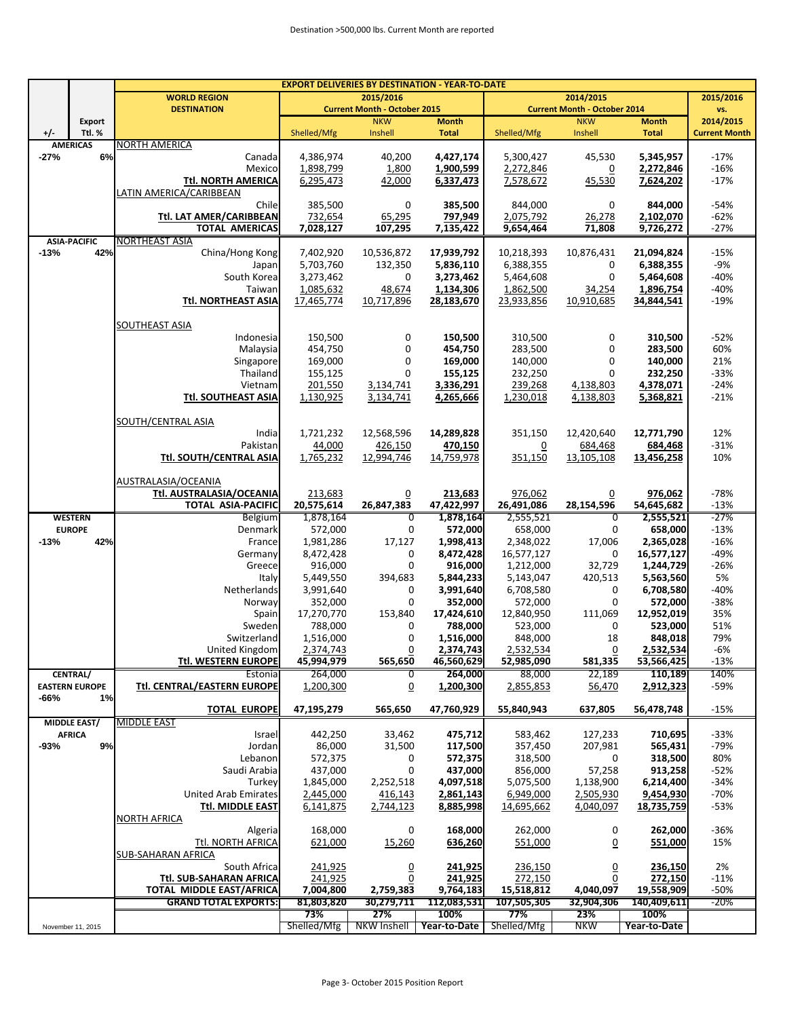|        |                       | <b>EXPORT DELIVERIES BY DESTINATION - YEAR-TO-DATE</b> |             |                                     |              |                |                                     |              |                      |  |  |  |
|--------|-----------------------|--------------------------------------------------------|-------------|-------------------------------------|--------------|----------------|-------------------------------------|--------------|----------------------|--|--|--|
|        |                       | <b>WORLD REGION</b>                                    |             | 2015/2016                           |              |                | 2014/2015                           |              | 2015/2016            |  |  |  |
|        |                       | <b>DESTINATION</b>                                     |             | <b>Current Month - October 2015</b> |              |                | <b>Current Month - October 2014</b> |              | vs.                  |  |  |  |
|        | Export                |                                                        |             | <b>NKW</b>                          | <b>Month</b> |                | <b>NKW</b>                          | <b>Month</b> | 2014/2015            |  |  |  |
| $+/-$  | Ttl.%                 |                                                        | Shelled/Mfg | Inshell                             | <b>Total</b> | Shelled/Mfg    | Inshell                             | <b>Total</b> | <b>Current Month</b> |  |  |  |
|        | <b>AMERICAS</b>       | NORTH AMERICA                                          |             |                                     |              |                |                                     |              |                      |  |  |  |
| $-27%$ | 6%                    | Canada                                                 | 4,386,974   | 40,200                              | 4,427,174    | 5,300,427      | 45,530                              | 5,345,957    | $-17%$               |  |  |  |
|        |                       | Mexicol                                                | 1,898,799   | 1,800                               | 1,900,599    | 2,272,846      | $\overline{0}$                      | 2,272,846    | $-16%$               |  |  |  |
|        |                       | Ttl. NORTH AMERICA                                     | 6,295,473   | 42,000                              | 6,337,473    | 7,578,672      | 45,530                              | 7,624,202    | $-17%$               |  |  |  |
|        |                       | LATIN AMERICA/CARIBBEAN                                |             |                                     |              |                |                                     |              |                      |  |  |  |
|        |                       | Chile                                                  | 385,500     | 0                                   | 385,500      | 844,000        | 0                                   | 844,000      | $-54%$               |  |  |  |
|        |                       | Ttl. LAT AMER/CARIBBEAN                                | 732,654     | 65,295                              | 797,949      | 2,075,792      | 26,278                              | 2,102,070    | $-62%$               |  |  |  |
|        |                       | <b>TOTAL AMERICAS</b>                                  | 7,028,127   | 107,295                             | 7,135,422    | 9,654,464      | 71,808                              | 9,726,272    | $-27%$               |  |  |  |
|        |                       | NORTHEAST ASIA                                         |             |                                     |              |                |                                     |              |                      |  |  |  |
|        | <b>ASIA-PACIFIC</b>   |                                                        |             |                                     |              |                |                                     |              |                      |  |  |  |
| $-13%$ | 42%                   | China/Hong Kong                                        | 7,402,920   | 10,536,872                          | 17,939,792   | 10,218,393     | 10,876,431                          | 21,094,824   | $-15%$               |  |  |  |
|        |                       | Japan                                                  | 5,703,760   | 132,350                             | 5,836,110    | 6,388,355      | 0                                   | 6,388,355    | $-9%$                |  |  |  |
|        |                       | South Korea                                            | 3,273,462   | 0                                   | 3,273,462    | 5,464,608      | 0                                   | 5,464,608    | $-40%$               |  |  |  |
|        |                       | Taiwan                                                 | 1,085,632   | 48,674                              | 1,134,306    | 1,862,500      | 34,254                              | 1,896,754    | $-40%$               |  |  |  |
|        |                       | <b>Ttl. NORTHEAST ASIA</b>                             | 17,465,774  | 10,717,896                          | 28,183,670   | 23,933,856     | 10,910,685                          | 34,844,541   | $-19%$               |  |  |  |
|        |                       |                                                        |             |                                     |              |                |                                     |              |                      |  |  |  |
|        |                       | SOUTHEAST ASIA                                         |             |                                     |              |                |                                     |              |                      |  |  |  |
|        |                       | Indonesia                                              | 150,500     | 0                                   | 150,500      | 310,500        | 0                                   | 310,500      | $-52%$               |  |  |  |
|        |                       | Malaysia                                               | 454,750     | 0                                   | 454,750      | 283,500        | 0                                   | 283,500      | 60%                  |  |  |  |
|        |                       | Singapore                                              | 169,000     | 0                                   | 169,000      | 140,000        | 0                                   | 140,000      | 21%                  |  |  |  |
|        |                       | Thailand                                               | 155,125     | $\mathbf 0$                         | 155,125      | 232,250        | 0                                   | 232,250      | $-33%$               |  |  |  |
|        |                       | Vietnam                                                | 201,550     | 3,134,741                           | 3,336,291    | 239,268        | 4,138,803                           | 4,378,071    | $-24%$               |  |  |  |
|        |                       | Ttl. SOUTHEAST ASIA                                    | 1,130,925   | 3,134,741                           | 4,265,666    | 1,230,018      | 4,138,803                           | 5,368,821    | $-21%$               |  |  |  |
|        |                       |                                                        |             |                                     |              |                |                                     |              |                      |  |  |  |
|        |                       | SOUTH/CENTRAL ASIA                                     |             |                                     |              |                |                                     |              |                      |  |  |  |
|        |                       | India                                                  | 1,721,232   | 12,568,596                          | 14,289,828   | 351,150        | 12,420,640                          | 12,771,790   | 12%                  |  |  |  |
|        |                       | Pakistan                                               | 44,000      | 426,150                             | 470,150      | $\overline{0}$ | 684,468                             | 684,468      | $-31%$               |  |  |  |
|        |                       | Ttl. SOUTH/CENTRAL ASIA                                | 1,765,232   | 12,994,746                          | 14,759,978   | 351,150        | 13,105,108                          | 13,456,258   | 10%                  |  |  |  |
|        |                       |                                                        |             |                                     |              |                |                                     |              |                      |  |  |  |
|        |                       |                                                        |             |                                     |              |                |                                     |              |                      |  |  |  |
|        |                       | AUSTRALASIA/OCEANIA                                    |             |                                     |              |                |                                     |              |                      |  |  |  |
|        |                       | Ttl. AUSTRALASIA/OCEANIA                               | 213,683     | $\overline{0}$                      | 213,683      | 976,062        | $\overline{0}$                      | 976,062      | $-78%$               |  |  |  |
|        |                       | <b>TOTAL ASIA-PACIFIC</b>                              | 20,575,614  | 26,847,383                          | 47,422,997   | 26,491,086     | 28,154,596                          | 54,645,682   | $-13%$               |  |  |  |
|        | <b>WESTERN</b>        | <b>Belgium</b>                                         | 1,878,164   | 0                                   | 1,878,164    | 2,555,521      | $\overline{0}$                      | 2,555,521    | $-27%$               |  |  |  |
|        | <b>EUROPE</b>         | Denmark                                                | 572,000     | 0                                   | 572,000      | 658,000        | 0                                   | 658,000      | $-13%$               |  |  |  |
| $-13%$ | 42%                   | France                                                 | 1,981,286   | 17,127                              | 1,998,413    | 2,348,022      | 17,006                              | 2,365,028    | $-16%$               |  |  |  |
|        |                       | Germany                                                | 8,472,428   | $\mathbf 0$                         | 8,472,428    | 16,577,127     | 0                                   | 16,577,127   | $-49%$               |  |  |  |
|        |                       | Greece                                                 | 916,000     | $\mathbf 0$                         | 916,000      | 1,212,000      | 32,729                              | 1,244,729    | $-26%$               |  |  |  |
|        |                       | Italy                                                  | 5,449,550   | 394,683                             | 5,844,233    | 5,143,047      | 420,513                             | 5,563,560    | 5%                   |  |  |  |
|        |                       | Netherlands                                            | 3,991,640   | 0                                   | 3,991,640    | 6,708,580      | 0                                   | 6,708,580    | $-40%$               |  |  |  |
|        |                       | Norway                                                 | 352,000     | $\mathbf 0$                         | 352,000      | 572,000        | 0                                   | 572,000      | $-38%$               |  |  |  |
|        |                       | Spain                                                  | 17,270,770  | 153,840                             | 17,424,610   | 12,840,950     | 111,069                             | 12,952,019   | 35%                  |  |  |  |
|        |                       | Sweden                                                 | 788,000     | 0                                   | 788,000      | 523,000        | 0                                   | 523,000      | 51%                  |  |  |  |
|        |                       | Switzerland                                            | 1,516,000   | $\boldsymbol{0}$                    | 1,516,000    | 848,000        | 18                                  | 848,018      | 79%                  |  |  |  |
|        |                       | United Kingdom                                         | 2,374,743   | 0                                   | 2,374,743    | 2,532,534      | 0                                   | 2,532,534    | $-6%$                |  |  |  |
|        |                       | Ttl. WESTERN EUROPE                                    | 45,994,979  | 565,650                             | 46,560,629   | 52,985,090     | 581,335                             | 53,566,425   | $-13%$               |  |  |  |
|        | CENTRAL/              | Estonia                                                | 264,000     | 0                                   | 264,000      | 88,000         | 22,189                              | 110,189      | 140%                 |  |  |  |
|        | <b>EASTERN EUROPE</b> | Ttl. CENTRAL/EASTERN EUROPE                            | 1,200,300   | $\Omega$                            | 1,200,300    | 2,855,853      | 56,470                              | 2,912,323    | -59%                 |  |  |  |
| -66%   | 1%                    |                                                        |             |                                     |              |                |                                     |              |                      |  |  |  |
|        |                       | <b>TOTAL EUROPE</b>                                    | 47,195,279  | 565,650                             | 47,760,929   | 55,840,943     | 637,805                             | 56,478,748   | $-15%$               |  |  |  |
|        | <b>MIDDLE EAST/</b>   | <b>MIDDLE EAST</b>                                     |             |                                     |              |                |                                     |              |                      |  |  |  |
|        | <b>AFRICA</b>         | Israel                                                 | 442,250     | 33,462                              | 475,712      | 583,462        | 127,233                             | 710,695      | $-33%$               |  |  |  |
| $-93%$ | 9%                    | Jordan                                                 | 86,000      | 31,500                              | 117,500      | 357,450        | 207,981                             | 565,431      | $-79%$               |  |  |  |
|        |                       | Lebanon                                                | 572,375     |                                     | 572,375      | 318,500        | 0                                   | 318,500      | 80%                  |  |  |  |
|        |                       |                                                        |             | 0<br>$\mathbf 0$                    |              | 856,000        |                                     |              | $-52%$               |  |  |  |
|        |                       | Saudi Arabia                                           | 437,000     |                                     | 437,000      |                | 57,258                              | 913,258      |                      |  |  |  |
|        |                       | Turkey                                                 | 1,845,000   | 2,252,518                           | 4,097,518    | 5,075,500      | 1,138,900                           | 6,214,400    | $-34%$               |  |  |  |
|        |                       | <b>United Arab Emirates</b>                            | 2,445,000   | 416,143                             | 2,861,143    | 6,949,000      | 2,505,930                           | 9,454,930    | $-70%$               |  |  |  |
|        |                       | Ttl. MIDDLE EAST                                       | 6,141,875   | 2,744,123                           | 8,885,998    | 14,695,662     | 4,040,097                           | 18,735,759   | $-53%$               |  |  |  |
|        |                       | <b>NORTH AFRICA</b>                                    |             |                                     |              |                |                                     |              |                      |  |  |  |
|        |                       | Algeria                                                | 168,000     | 0                                   | 168,000      | 262,000        | 0                                   | 262,000      | $-36%$               |  |  |  |
|        |                       | Ttl. NORTH AFRICA                                      | 621,000     | 15,260                              | 636,260      | 551,000        | $\overline{0}$                      | 551,000      | 15%                  |  |  |  |
|        |                       | <b>SUB-SAHARAN AFRICA</b>                              |             |                                     |              |                |                                     |              |                      |  |  |  |
|        |                       | South Africa                                           | 241,925     | $\overline{0}$                      | 241,925      | 236,150        | $\overline{0}$                      | 236,150      | 2%                   |  |  |  |
|        |                       | Ttl. SUB-SAHARAN AFRICA                                | 241,925     | $\overline{0}$                      | 241,925      | 272,150        | 0                                   | 272,150      | $-11%$               |  |  |  |
|        |                       | <b>TOTAL MIDDLE EAST/AFRICA</b>                        | 7,004,800   | 2,759,383                           | 9,764,183    | 15,518,812     | 4,040,097                           | 19,558,909   | -50%                 |  |  |  |
|        |                       | <b>GRAND TOTAL EXPORTS:</b>                            | 81,803,820  | 30,279,711                          | 112,083,531  | 107,505,305    | 32,904,306                          | 140,409,611  | $-20%$               |  |  |  |
|        |                       |                                                        | 73%         | 27%                                 | 100%         | 77%            | 23%                                 | 100%         |                      |  |  |  |
|        | November 11, 2015     |                                                        | Shelled/Mfg | <b>NKW Inshell</b>                  | Year-to-Date | Shelled/Mfg    | <b>NKW</b>                          | Year-to-Date |                      |  |  |  |
|        |                       |                                                        |             |                                     |              |                |                                     |              |                      |  |  |  |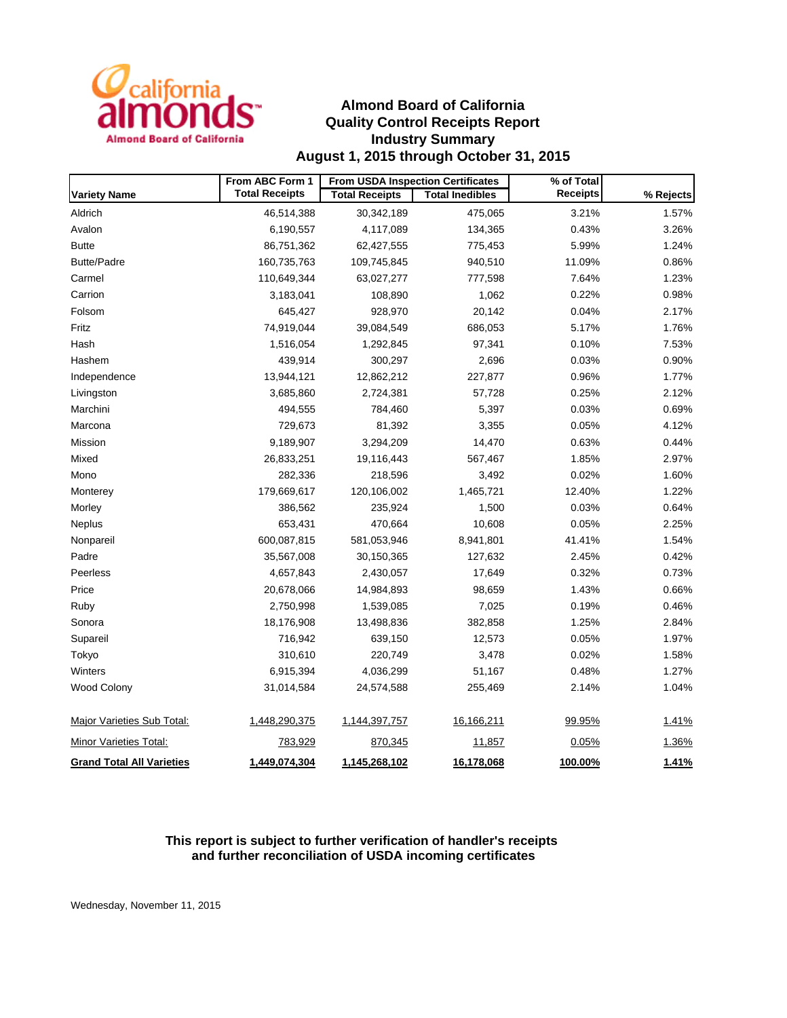

## **Almond Board of California Quality Control Receipts Report Industry Summary August 1, 2015 through October 31, 2015**

|                                  | From ABC Form 1       | <b>From USDA Inspection Certificates</b> |                        | % of Total      |           |  |
|----------------------------------|-----------------------|------------------------------------------|------------------------|-----------------|-----------|--|
| <b>Variety Name</b>              | <b>Total Receipts</b> | <b>Total Receipts</b>                    | <b>Total Inedibles</b> | <b>Receipts</b> | % Rejects |  |
| Aldrich                          | 46,514,388            | 30,342,189                               | 475,065                | 3.21%           | 1.57%     |  |
| Avalon                           | 6,190,557             | 4,117,089                                | 134,365                | 0.43%           | 3.26%     |  |
| <b>Butte</b>                     | 86,751,362            | 62,427,555                               | 775,453                | 5.99%           | 1.24%     |  |
| <b>Butte/Padre</b>               | 160,735,763           | 109,745,845                              | 940,510                | 11.09%          | 0.86%     |  |
| Carmel                           | 110,649,344           | 63,027,277                               | 777,598                | 7.64%           | 1.23%     |  |
| Carrion                          | 3,183,041             | 108,890                                  | 1,062                  | 0.22%           | 0.98%     |  |
| Folsom                           | 645,427               | 928,970                                  | 20,142                 | 0.04%           | 2.17%     |  |
| Fritz                            | 74,919,044            | 39,084,549                               | 686,053                | 5.17%           | 1.76%     |  |
| Hash                             | 1,516,054             | 1,292,845                                | 97,341                 | 0.10%           | 7.53%     |  |
| Hashem                           | 439,914               | 300,297                                  | 2,696                  | 0.03%           | 0.90%     |  |
| Independence                     | 13,944,121            | 12,862,212                               | 227,877                | 0.96%           | 1.77%     |  |
| Livingston                       | 3,685,860             | 2,724,381                                | 57,728                 | 0.25%           | 2.12%     |  |
| Marchini                         | 494,555               | 784,460                                  | 5,397                  | 0.03%           | 0.69%     |  |
| Marcona                          | 729,673               | 81,392                                   | 3,355                  | 0.05%           | 4.12%     |  |
| Mission                          | 9,189,907             | 3,294,209                                | 14,470                 | 0.63%           | 0.44%     |  |
| Mixed                            | 26,833,251            | 19,116,443                               | 567,467                | 1.85%           | 2.97%     |  |
| Mono                             | 282,336               | 218,596                                  | 3,492                  | 0.02%           | 1.60%     |  |
| Monterey                         | 179,669,617           | 120,106,002                              | 1,465,721              | 12.40%          | 1.22%     |  |
| Morley                           | 386,562               | 235,924                                  | 1,500                  | 0.03%           | 0.64%     |  |
| <b>Neplus</b>                    | 653,431               | 470,664                                  | 10,608                 | 0.05%           | 2.25%     |  |
| Nonpareil                        | 600,087,815           | 581,053,946                              | 8,941,801              | 41.41%          | 1.54%     |  |
| Padre                            | 35,567,008            | 30,150,365                               | 127,632                | 2.45%           | 0.42%     |  |
| Peerless                         | 4,657,843             | 2,430,057                                | 17,649                 | 0.32%           | 0.73%     |  |
| Price                            | 20,678,066            | 14,984,893                               | 98,659                 | 1.43%           | 0.66%     |  |
| Ruby                             | 2,750,998             | 1,539,085                                | 7,025                  | 0.19%           | 0.46%     |  |
| Sonora                           | 18,176,908            | 13,498,836                               | 382,858                | 1.25%           | 2.84%     |  |
| Supareil                         | 716,942               | 639,150                                  | 12,573                 | 0.05%           | 1.97%     |  |
| Tokyo                            | 310,610               | 220,749                                  | 3,478                  | 0.02%           | 1.58%     |  |
| Winters                          | 6,915,394             | 4,036,299                                | 51,167                 | 0.48%           | 1.27%     |  |
| <b>Wood Colony</b>               | 31,014,584            | 24,574,588                               | 255,469                | 2.14%           | 1.04%     |  |
| Major Varieties Sub Total:       | 1,448,290,375         | 1,144,397,757                            | 16,166,211             | 99.95%          | 1.41%     |  |
| Minor Varieties Total:           | 783,929               | 870,345                                  | 11,857                 | 0.05%           | 1.36%     |  |
| <b>Grand Total All Varieties</b> | 1,449,074,304         | 1,145,268,102                            | 16,178,068             | 100.00%         | 1.41%     |  |

## **This report is subject to further verification of handler's receipts and further reconciliation of USDA incoming certificates**